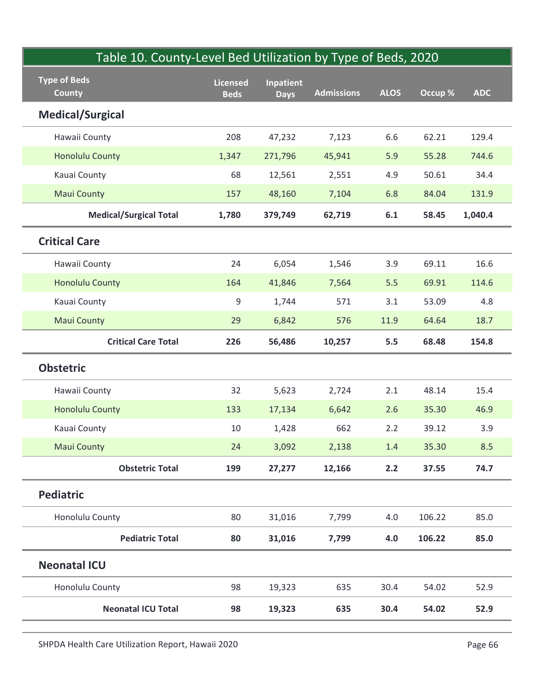| Table 10. County-Level Bed Utilization by Type of Beds, 2020 |                                |                          |                   |             |         |            |
|--------------------------------------------------------------|--------------------------------|--------------------------|-------------------|-------------|---------|------------|
| <b>Type of Beds</b><br><b>County</b>                         | <b>Licensed</b><br><b>Beds</b> | Inpatient<br><b>Days</b> | <b>Admissions</b> | <b>ALOS</b> | Occup % | <b>ADC</b> |
| <b>Medical/Surgical</b>                                      |                                |                          |                   |             |         |            |
| Hawaii County                                                | 208                            | 47,232                   | 7,123             | 6.6         | 62.21   | 129.4      |
| <b>Honolulu County</b>                                       | 1,347                          | 271,796                  | 45,941            | 5.9         | 55.28   | 744.6      |
| Kauai County                                                 | 68                             | 12,561                   | 2,551             | 4.9         | 50.61   | 34.4       |
| <b>Maui County</b>                                           | 157                            | 48,160                   | 7,104             | 6.8         | 84.04   | 131.9      |
| <b>Medical/Surgical Total</b>                                | 1,780                          | 379,749                  | 62,719            | 6.1         | 58.45   | 1,040.4    |
| <b>Critical Care</b>                                         |                                |                          |                   |             |         |            |
| Hawaii County                                                | 24                             | 6,054                    | 1,546             | 3.9         | 69.11   | 16.6       |
| <b>Honolulu County</b>                                       | 164                            | 41,846                   | 7,564             | 5.5         | 69.91   | 114.6      |
| Kauai County                                                 | 9                              | 1,744                    | 571               | $3.1$       | 53.09   | 4.8        |
| <b>Maui County</b>                                           | 29                             | 6,842                    | 576               | 11.9        | 64.64   | 18.7       |
| <b>Critical Care Total</b>                                   | 226                            | 56,486                   | 10,257            | 5.5         | 68.48   | 154.8      |
| <b>Obstetric</b>                                             |                                |                          |                   |             |         |            |
| Hawaii County                                                | 32                             | 5,623                    | 2,724             | 2.1         | 48.14   | 15.4       |
| <b>Honolulu County</b>                                       | 133                            | 17,134                   | 6,642             | 2.6         | 35.30   | 46.9       |
| Kauai County                                                 | 10                             | 1,428                    | 662               | $2.2$       | 39.12   | 3.9        |
| <b>Maui County</b>                                           | 24                             | 3,092                    | 2,138             | 1.4         | 35.30   | 8.5        |
| <b>Obstetric Total</b>                                       | 199                            | 27,277                   | 12,166            | 2.2         | 37.55   | 74.7       |
| Pediatric                                                    |                                |                          |                   |             |         |            |
| Honolulu County                                              | 80                             | 31,016                   | 7,799             | 4.0         | 106.22  | 85.0       |
| <b>Pediatric Total</b>                                       | 80                             | 31,016                   | 7,799             | 4.0         | 106.22  | 85.0       |
| <b>Neonatal ICU</b>                                          |                                |                          |                   |             |         |            |
| Honolulu County                                              | 98                             | 19,323                   | 635               | 30.4        | 54.02   | 52.9       |
| <b>Neonatal ICU Total</b>                                    | 98                             | 19,323                   | 635               | 30.4        | 54.02   | 52.9       |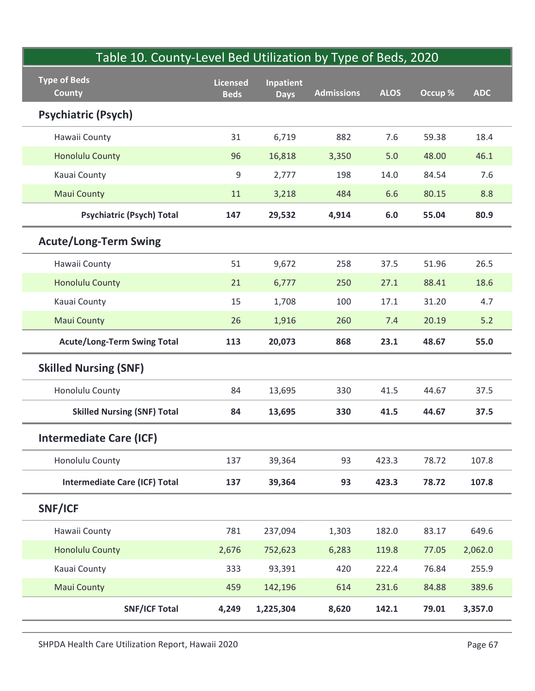| Table 10. County-Level Bed Utilization by Type of Beds, 2020<br><b>Type of Beds</b> | <b>Licensed</b> | <b>Inpatient</b> |                   |             |         |            |
|-------------------------------------------------------------------------------------|-----------------|------------------|-------------------|-------------|---------|------------|
| <b>County</b>                                                                       | <b>Beds</b>     | <b>Days</b>      | <b>Admissions</b> | <b>ALOS</b> | Occup % | <b>ADC</b> |
| <b>Psychiatric (Psych)</b>                                                          |                 |                  |                   |             |         |            |
| Hawaii County                                                                       | 31              | 6,719            | 882               | 7.6         | 59.38   | 18.4       |
| <b>Honolulu County</b>                                                              | 96              | 16,818           | 3,350             | 5.0         | 48.00   | 46.1       |
| Kauai County                                                                        | 9               | 2,777            | 198               | 14.0        | 84.54   | $7.6$      |
| <b>Maui County</b>                                                                  | 11              | 3,218            | 484               | 6.6         | 80.15   | 8.8        |
| <b>Psychiatric (Psych) Total</b>                                                    | 147             | 29,532           | 4,914             | 6.0         | 55.04   | 80.9       |
| <b>Acute/Long-Term Swing</b>                                                        |                 |                  |                   |             |         |            |
| Hawaii County                                                                       | 51              | 9,672            | 258               | 37.5        | 51.96   | 26.5       |
| <b>Honolulu County</b>                                                              | 21              | 6,777            | 250               | 27.1        | 88.41   | 18.6       |
| Kauai County                                                                        | 15              | 1,708            | 100               | 17.1        | 31.20   | 4.7        |
| <b>Maui County</b>                                                                  | 26              | 1,916            | 260               | 7.4         | 20.19   | $5.2$      |
| <b>Acute/Long-Term Swing Total</b>                                                  | 113             | 20,073           | 868               | 23.1        | 48.67   | 55.0       |
| <b>Skilled Nursing (SNF)</b>                                                        |                 |                  |                   |             |         |            |
| Honolulu County                                                                     | 84              | 13,695           | 330               | 41.5        | 44.67   | 37.5       |
| <b>Skilled Nursing (SNF) Total</b>                                                  | 84              | 13,695           | 330               | 41.5        | 44.67   | 37.5       |
| <b>Intermediate Care (ICF)</b>                                                      |                 |                  |                   |             |         |            |
| Honolulu County                                                                     | 137             | 39,364           | 93                | 423.3       | 78.72   | 107.8      |
| <b>Intermediate Care (ICF) Total</b>                                                | 137             | 39,364           | 93                | 423.3       | 78.72   | 107.8      |
| SNF/ICF                                                                             |                 |                  |                   |             |         |            |
| Hawaii County                                                                       | 781             | 237,094          | 1,303             | 182.0       | 83.17   | 649.6      |
| <b>Honolulu County</b>                                                              | 2,676           | 752,623          | 6,283             | 119.8       | 77.05   | 2,062.0    |
| Kauai County                                                                        | 333             | 93,391           | 420               | 222.4       | 76.84   | 255.9      |
| <b>Maui County</b>                                                                  | 459             | 142,196          | 614               | 231.6       | 84.88   | 389.6      |
| <b>SNF/ICF Total</b>                                                                | 4,249           | 1,225,304        | 8,620             | 142.1       | 79.01   | 3,357.0    |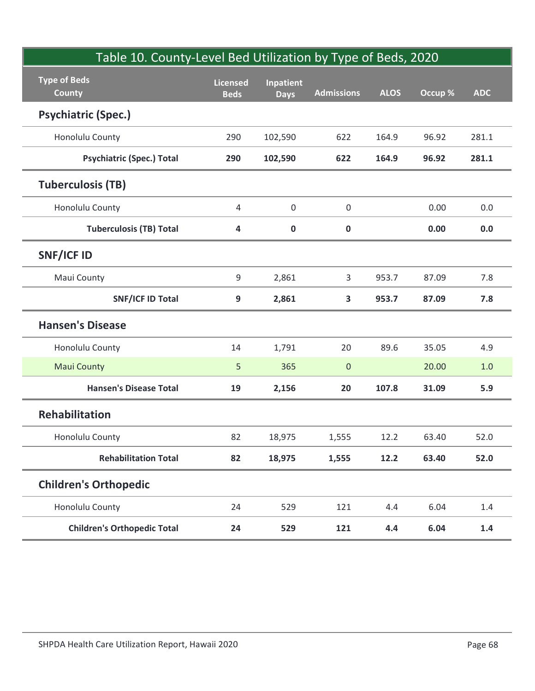| Table 10. County-Level Bed Utilization by Type of Beds, 2020<br><b>Type of Beds</b><br><b>County</b> | <b>Licensed</b><br><b>Beds</b> | <b>Inpatient</b><br><b>Days</b> | <b>Admissions</b> | <b>ALOS</b> | Occup % | <b>ADC</b> |
|------------------------------------------------------------------------------------------------------|--------------------------------|---------------------------------|-------------------|-------------|---------|------------|
| <b>Psychiatric (Spec.)</b>                                                                           |                                |                                 |                   |             |         |            |
| Honolulu County                                                                                      | 290                            | 102,590                         | 622               | 164.9       | 96.92   | 281.1      |
| <b>Psychiatric (Spec.) Total</b>                                                                     | 290                            | 102,590                         | 622               | 164.9       | 96.92   | 281.1      |
| <b>Tuberculosis (TB)</b>                                                                             |                                |                                 |                   |             |         |            |
| Honolulu County                                                                                      | 4                              | $\mathsf{O}\xspace$             | 0                 |             | 0.00    | 0.0        |
| <b>Tuberculosis (TB) Total</b>                                                                       | 4                              | $\pmb{0}$                       | $\pmb{0}$         |             | 0.00    | 0.0        |
| <b>SNF/ICF ID</b>                                                                                    |                                |                                 |                   |             |         |            |
| Maui County                                                                                          | 9                              | 2,861                           | $\mathbf{3}$      | 953.7       | 87.09   | 7.8        |
| <b>SNF/ICF ID Total</b>                                                                              | 9                              | 2,861                           | $\mathbf{3}$      | 953.7       | 87.09   | 7.8        |
| <b>Hansen's Disease</b>                                                                              |                                |                                 |                   |             |         |            |
| Honolulu County                                                                                      | 14                             | 1,791                           | 20                | 89.6        | 35.05   | 4.9        |
| <b>Maui County</b>                                                                                   | 5                              | 365                             | $\overline{0}$    |             | 20.00   | $1.0\,$    |
| <b>Hansen's Disease Total</b>                                                                        | 19                             | 2,156                           | 20                | 107.8       | 31.09   | 5.9        |
| Rehabilitation                                                                                       |                                |                                 |                   |             |         |            |
| Honolulu County                                                                                      | 82                             | 18,975                          | 1,555             | 12.2        | 63.40   | 52.0       |
| <b>Rehabilitation Total</b>                                                                          | 82                             | 18,975                          | 1,555             | 12.2        | 63.40   | 52.0       |
| <b>Children's Orthopedic</b>                                                                         |                                |                                 |                   |             |         |            |
| Honolulu County                                                                                      | 24                             | 529                             | 121               | 4.4         | 6.04    | $1.4\,$    |
| <b>Children's Orthopedic Total</b>                                                                   | 24                             | 529                             | 121               | 4.4         | 6.04    | $1.4\,$    |